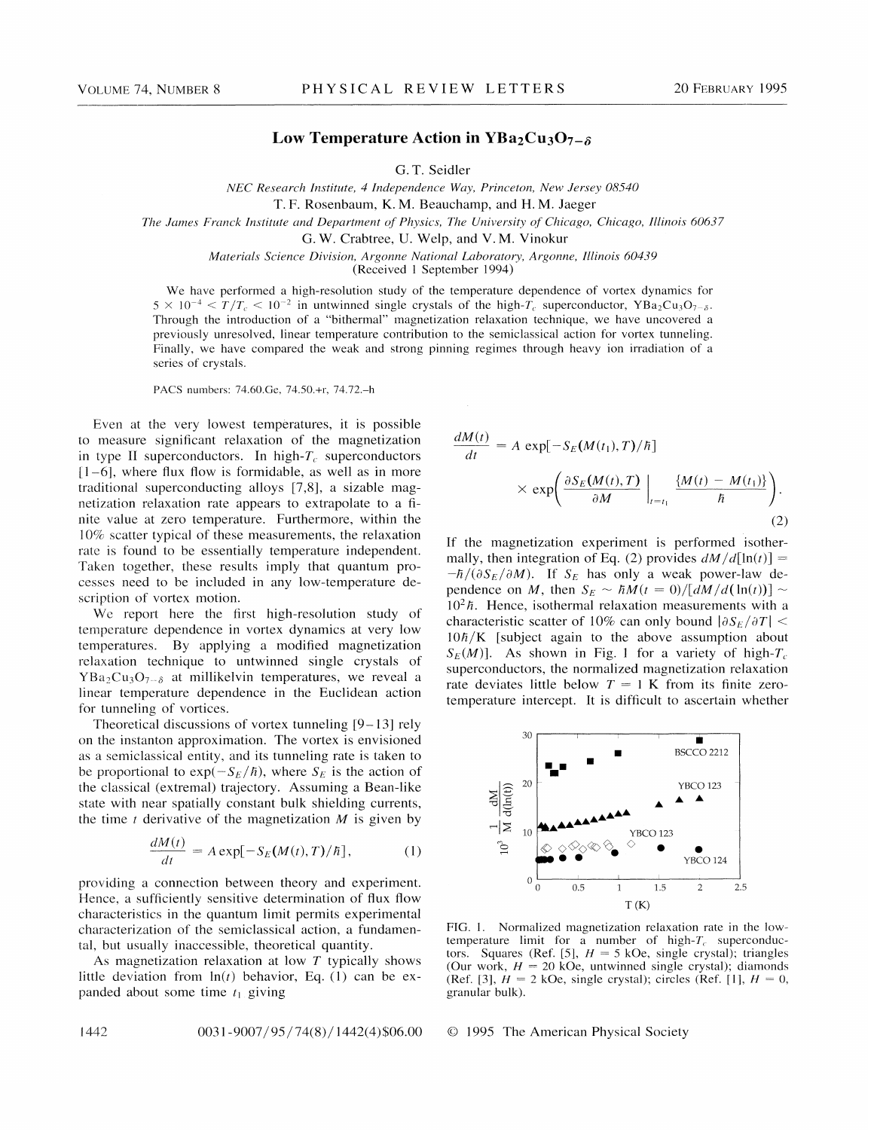## Low Temperature Action in YBa<sub>2</sub>Cu<sub>3</sub>O<sub>7- $\delta$ </sub>

G. T. Seidler

NEC Research Institute, 4 Independence Way, Princeton, New Jersey 08540

The James Franck Institute and Department of Physics, The University of Chicago, Chicago, Illinois 60637

G. W. Crabtree, U. Welp, and V. M. Vinokur

Materials Science Division, Argonne National Laboratory, Argonne, Illinois 60439

(Received <sup>1</sup> September 1994)

We have performed a high-resolution study of the temperature dependence of vortex dynamics for  $5 \times 10^{-4} < T/T_c < 10^{-2}$  in untwinned single crystals of the high-T<sub>c</sub> superconductor, YBa<sub>2</sub>Cu<sub>3</sub>O<sub>7- $\delta$ </sub>. Through the introduction of a "bithermal" magnetization relaxation technique, we have uncovered a previously unresolved, linear temperature contribution to the semiclassical action for vortex tunneling. Finally, we have compared the weak and strong pinning regimes through heavy ion irradiation of a series of crystals.

PACS numbers: 74.60.Ge, 74.SO.+r, 74.72.—<sup>h</sup>

Even at the very lowest temperatures, it is possible to measure significant relaxation of the magnetization in type II superconductors. In high- $T_c$  superconductors  $[1-6]$ , where flux flow is formidable, as well as in more traditional superconducting alloys [7,8], a sizable magnetization relaxation rate appears to extrapolate to a finite value at zero temperature. Furthermore, within the 10% scatter typical of these measurements, the relaxation rate is found to be essentially temperature independent. Taken together, these results imply that quantum processes need to be included in any low-temperature description of vortex motion.

We report here the first high-resolution study of temperature dependence in vortex dynamics at very low temperatures. By applying a modified magnetization relaxation technique to untwinned single crystals of  $YBa<sub>2</sub>Cu<sub>3</sub>O<sub>7-δ</sub>$  at millikelvin temperatures, we reveal a linear temperature dependence in the Euclidean action for tunneling of vortices.

Theoretical discussions of vortex tunneling [9—13] rely on the instanton approximation. The vortex is envisioned as a semiclassical entity, and its tunneling rate is taken to be proportional to  $\exp(-S_E/\hbar)$ , where  $S_E$  is the action of the classical (extremal) trajectory. Assuming a Bean-like state with near spatially constant bulk shielding currents, the time t derivative of the magnetization  $M$  is given by

$$
\frac{dM(t)}{dt} = A \exp[-S_E(M(t),T)/\hbar],\tag{1}
$$

providing a connection between theory and experiment. Hence, a sufficiently sensitive determination of flux flow characteristics in the quantum limit permits experimental characterization of the semiclassical action, a fundamental, but usually inaccessible, theoretical quantity.

As magnetization relaxation at low T typically shows little deviation from  $ln(t)$  behavior, Eq. (1) can be expanded about some time  $t_1$  giving

 $dM(t)$  $\frac{d(t)}{dt} = A \exp[-S_E(M(t_1), T)/\hbar]$  $\langle \exp \left( \frac{\partial S_E(M(t), T)}{\partial M} \right)$  $(2)$ 

If the magnetization experiment is performed isothermally, then integration of Eq. (2) provides  $dM/d[\ln(t)] =$  $-\hbar/(\partial S_E/\partial M)$ . If  $S_E$  has only a weak power-law dependence on M, then  $S_E \sim \hbar M(t = 0) / [\tilde{dM}/d(\ln(t))] \sim$  $10<sup>2</sup>$  *h*. Hence, isothermal relaxation measurements with a characteristic scatter of 10% can only bound  $|\partial S_E/\partial T|$  <  $10\hbar/K$  [subject again to the above assumption about  $S_E(M)$ ]. As shown in Fig. 1 for a variety of high- $T_c$ . superconductors, the normalized magnetization relaxation rate deviates little below  $T = 1$  K from its finite zerotemperature intercept. It is difficult to ascertain whether



FIG. 1. Normalized magnetization relaxation rate in the lowtemperature limit for a number of high- $T_c$  superconductors. Squares (Ref. [5],  $H = 5$  kOe, single crystal); triangles (Our work,  $H = 20$  kOe, untwinned single crystal); diamonds (Ref. [3],  $H = 2$  kOe, single crystal); circles (Ref. [1],  $H = 0$ , granular bulk).

0031-9007/95/74(8)/1442(4)\$06.00 © 1995 The American Physical Society

1442

T.F. Rosenbaum, K. M. Beauchamp, and H. M. Jaeger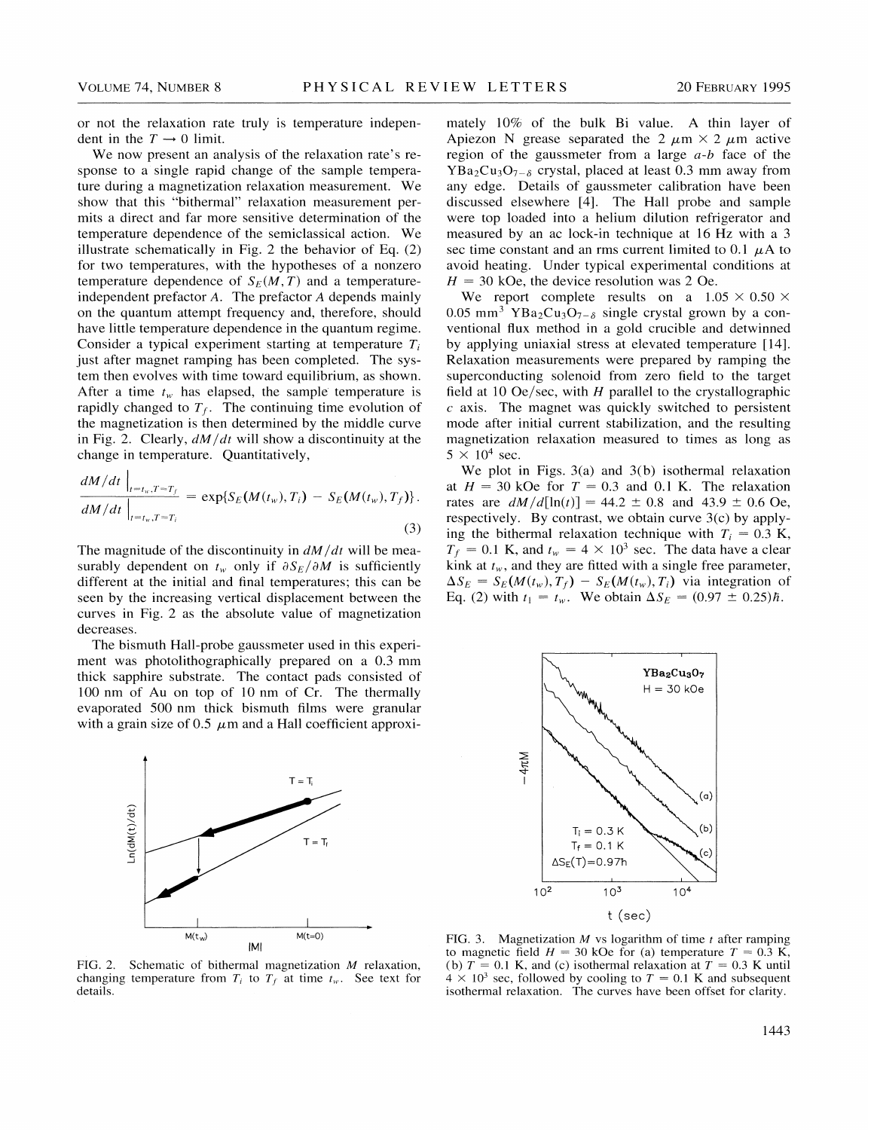or not the relaxation rate truly is temperature independent in the  $T \rightarrow 0$  limit.

We now present an analysis of the relaxation rate's response to a single rapid change of the sample temperature during a magnetization relaxation measurement. We show that this "bithermal" relaxation measurement permits a direct and far more sensitive determination of the temperature dependence of the semiclassical action. We illustrate schematically in Fig. 2 the behavior of Eq. (2) for two temperatures, with the hypotheses of a nonzero temperature dependence of  $S_E(M, T)$  and a temperatureindependent prefactor A. The prefactor A depends mainly on the quantum attempt frequency and, therefore, should have little temperature dependence in the quantum regime. Consider a typical experiment starting at temperature  $T_i$ just after magnet ramping has been completed. The system then evolves with time toward equilibrium, as shown. After a time  $t_w$  has elapsed, the sample temperature is rapidly changed to  $T_f$ . The continuing time evolution of the magnetization is then determined by the middle curve in Fig. 2. Clearly,  $dM/dt$  will show a discontinuity at the change in temperature. Quantitatively,

$$
\frac{dM/dt}{dM/dt}\Big|_{t=t_w,T=T_f} = \exp\{S_E(M(t_w),T_i) - S_E(M(t_w),T_f)\}.
$$
\n(3)

The magnitude of the discontinuity in  $dM/dt$  will be measurably dependent on  $t_w$  only if  $\partial S_E/\partial M$  is sufficiently different at the initial and final temperatures; this can be seen by the increasing vertical displacement between the curves in Fig. 2 as the absolute value of magnetization decreases.

The bismuth Hall-probe gaussmeter used in this experiment was photolithographically prepared on a 0.3 mm thick sapphire substrate. The contact pads consisted of 100 nm of Au on top of 10 nm of Cr. The thermally evaporated 500 nm thick bismuth films were granular with a grain size of 0.5  $\mu$ m and a Hall coefficient approxi-



FIG. 2. Schematic of bithermal magnetization M relaxation, changing temperature from  $T_i$  to  $T_f$  at time  $t_w$ . See text for details.

mately 10% of the bulk Bi value. A thin layer of Apiezon N grease separated the 2  $\mu$ m × 2  $\mu$ m active region of the gaussmeter from a large  $a-b$  face of the  $YBa<sub>2</sub>Cu<sub>3</sub>O<sub>7-δ</sub>$  crystal, placed at least 0.3 mm away from any edge. Details of gaussmeter calibration have been discussed elsewhere [4]. The Hall probe and sample were top loaded into a helium dilution refrigerator and measured by an ac lock-in technique at 16 Hz with a 3 sec time constant and an rms current limited to 0.1  $\mu$ A to avoid heating. Under typical experimental conditions at  $H = 30$  kOe, the device resolution was 2 Oe.

We report complete results on a  $1.05 \times 0.50 \times$ 0.05 mm<sup>3</sup> YBa<sub>2</sub>Cu<sub>3</sub>O<sub>7- $\delta$ </sub> single crystal grown by a conventional flux method in a gold crucible and detwinned by applying uniaxial stress at elevated temperature [14]. Relaxation measurements were prepared by ramping the superconducting solenoid from zero field to the target field at 10 Oe/sec, with  $H$  parallel to the crystallographic  $c$  axis. The magnet was quickly switched to persistent mode after initial current stabilization, and the resulting magnetization relaxation measured to times as long as  $5 \times 10^4$  sec.

We plot in Figs. 3(a) and 3(b) isothermal relaxation at  $H = 30$  kOe for  $T = 0.3$  and 0.1 K. The relaxation rates are  $dM/d[\ln(t)] = 44.2 \pm 0.8$  and  $43.9 \pm 0.6$  Oe, respectively. By contrast, we obtain curve 3(c) by applying the bithermal relaxation technique with  $T_i = 0.3$  K,  $T_f = 0.1$  K, and  $t_w = 4 \times 10^3$  sec. The data have a clear kink at  $t_w$ , and they are fitted with a single free parameter,  $\Delta S_E = S_E(M(t_w), T_f) - S_E(M(t_w), T_i)$  via integration of Eq. (2) with  $t_1 = t_w$ . We obtain  $\Delta S_E = (0.97 \pm 0.25) \hbar$ .



FIG. 3. Magnetization  $M$  vs logarithm of time  $t$  after ramping to magnetic field  $H = 30$  kOe for (a) temperature  $T = 0.3$  K, (b)  $T = 0.1$  K, and (c) isothermal relaxation at  $T = 0.3$  K until  $4 \times 10^3$  sec, followed by cooling to  $T = 0.1$  K and subsequent isothermal relaxation. The curves have been offset for clarity.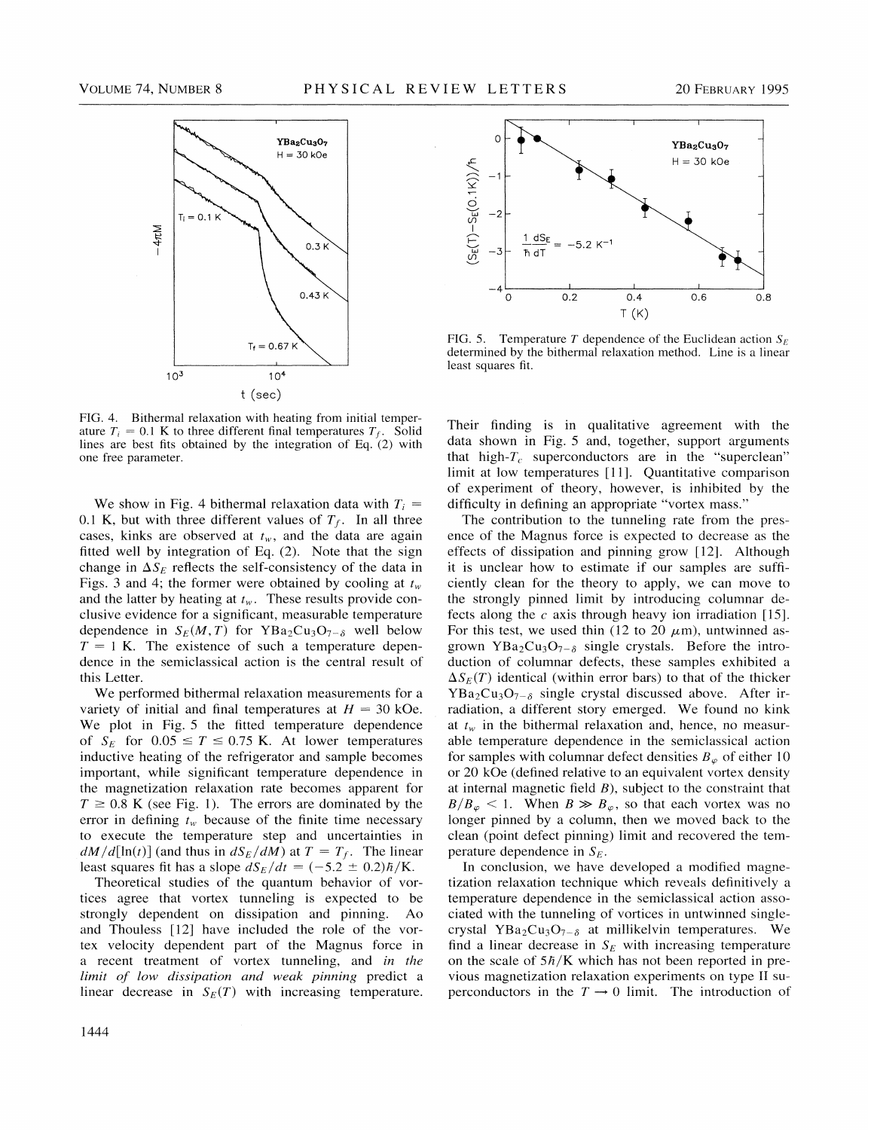

FIG. 4. Bithermal relaxation with heating from initial temperature  $T_i = 0.1$  K to three different final temperatures  $T_f$ . Solid lines are best fits obtained by the integration of Eq. (2) with one free parameter.

We show in Fig. 4 bithermal relaxation data with  $T_i =$ 0.1 K, but with three different values of  $T_f$ . In all three cases, kinks are observed at  $t_w$ , and the data are again fitted well by integration of Eq. (2). Note that the sign change in  $\Delta S_E$  reflects the self-consistency of the data in Figs. 3 and 4; the former were obtained by cooling at  $t_w$ and the latter by heating at  $t_w$ . These results provide conclusive evidence for a significant, measurable temperature dependence in  $S_E(M, T)$  for YBa<sub>2</sub>Cu<sub>3</sub>O<sub>7- $\delta$ </sub> well below  $T = 1$  K. The existence of such a temperature dependence in the semiclassical action is the central result of this Letter.

We performed bithermal relaxation measurements for a variety of initial and final temperatures at  $H = 30$  kOe. We plot in Fig. 5 the fitted temperature dependence of  $S_E$  for  $0.05 \le T \le 0.75$  K. At lower temperatures inductive heating of the refrigerator and sample becomes important, while significant temperature dependence in the magnetization relaxation rate becomes apparent for  $T \ge 0.8$  K (see Fig. 1). The errors are dominated by the error in defining  $t_w$  because of the finite time necessary to execute the temperature step and uncertainties in  $dM/d[\ln(t)]$  (and thus in  $dS_E/dM$ ) at  $T = T_f$ . The linear least squares fit has a slope  $dS_F/dt = (-5.2 \pm 0.2)\hbar/K$ .

Theoretical studies of the quantum behavior of vortices agree that vortex tunneling is expected to be strongly dependent on dissipation and pinning. Ao and Thouless [12] have included the role of the vortex velocity dependent part of the Magnus force in a recent treatment of vortex tunneling, and in the limit of low dissipation and weak pinning predict a linear decrease in  $S_E(T)$  with increasing temperature.



FIG. 5. Temperature T dependence of the Euclidean action  $S_E$ determined by the bithermal relaxation method. Line is a linear least squares fit.

Their finding is in qualitative agreement with the data shown in Fig. 5 and, together, support arguments that high- $T_c$  superconductors are in the "superclean" limit at low temperatures [11]. Quantitative comparison of experiment of theory, however, is inhibited by the difficulty in defining an appropriate "vortex mass" difficulty in defining an appropriate "vortex mass."

The contribution to the tunneling rate from the presence of the Magnus force is expected to decrease as the effects of dissipation and pinning grow [12]. Although it is unclear how to estimate if our samples are sufficiently clean for the theory to apply, we can move to the strongly pinned limit by introducing columnar defects along the  $c$  axis through heavy ion irradiation [15]. For this test, we used thin (12 to 20  $\mu$ m), untwinned asgrown YBa<sub>2</sub>Cu<sub>3</sub>O<sub>7- $\delta$ </sub> single crystals. Before the introduction of columnar defects, these samples exhibited a  $\Delta S_F(T)$  identical (within error bars) to that of the thicker  $YBa_2Cu_3O_{7-\delta}$  single crystal discussed above. After irradiation, a different story emerged. We found no kink at  $t_w$  in the bithermal relaxation and, hence, no measurable temperature dependence in the semiclassical action for samples with columnar defect densities  $B_{\varphi}$  of either 10 or 20 kOe (defined relative to an equivalent vortex density at internal magnetic field  $B$ ), subject to the constraint that  $B/B_{\varphi} < 1$ . When  $B \gg B_{\varphi}$ , so that each vortex was no longer pinned by a column, then we moved back to the clean (point defect pinning) limit and recovered the temperature dependence in  $S_F$ .

In conclusion, we have developed a modified magnetization relaxation technique which reveals definitively a temperature dependence in the semiclassical action associated with the tunneling of vortices in untwinned singlecrystal YBa<sub>2</sub>Cu<sub>3</sub>O<sub>7- $\delta$ </sub> at millikelvin temperatures. We find a linear decrease in  $S_E$  with increasing temperature on the scale of  $5\hbar/K$  which has not been reported in previous magnetization relaxation experiments on type II superconductors in the  $T \rightarrow 0$  limit. The introduction of